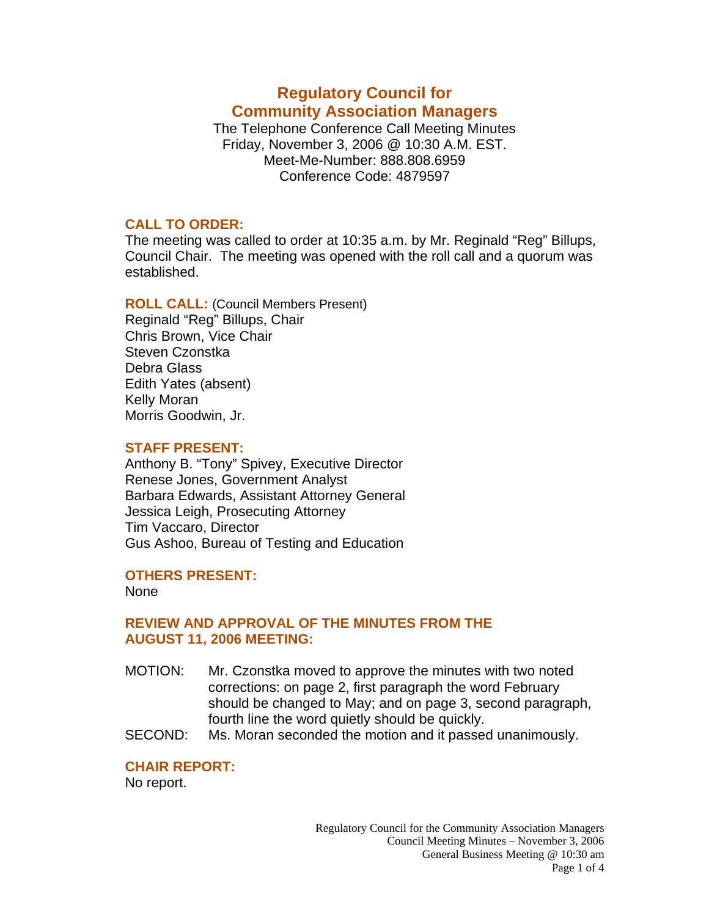# **Regulatory Council for Community Association Managers**

The Telephone Conference Call Meeting Minutes Friday, November 3, 2006 @ 10:30 A.M. EST. Meet-Me-Number: 888.808.6959 Conference Code: 4879597

## **CALL TO ORDER:**

The meeting was called to order at 10:35 a.m. by Mr. Reginald "Reg" Billups, Council Chair. The meeting was opened with the roll call and a quorum was established.

**ROLL CALL:** (Council Members Present) Reginald "Reg" Billups, Chair Chris Brown, Vice Chair Steven Czonstka Debra Glass Edith Yates (absent) Kelly Moran Morris Goodwin, Jr.

# **STAFF PRESENT:**

Anthony B. "Tony" Spivey, Executive Director Renese Jones, Government Analyst Barbara Edwards, Assistant Attorney General Jessica Leigh, Prosecuting Attorney Tim Vaccaro, Director Gus Ashoo, Bureau of Testing and Education

# **OTHERS PRESENT:**

None

# **REVIEW AND APPROVAL OF THE MINUTES FROM THE AUGUST 11, 2006 MEETING:**

- MOTION: Mr. Czonstka moved to approve the minutes with two noted corrections: on page 2, first paragraph the word February should be changed to May; and on page 3, second paragraph, fourth line the word quietly should be quickly.
- SECOND: Ms. Moran seconded the motion and it passed unanimously.

# **CHAIR REPORT:**

No report.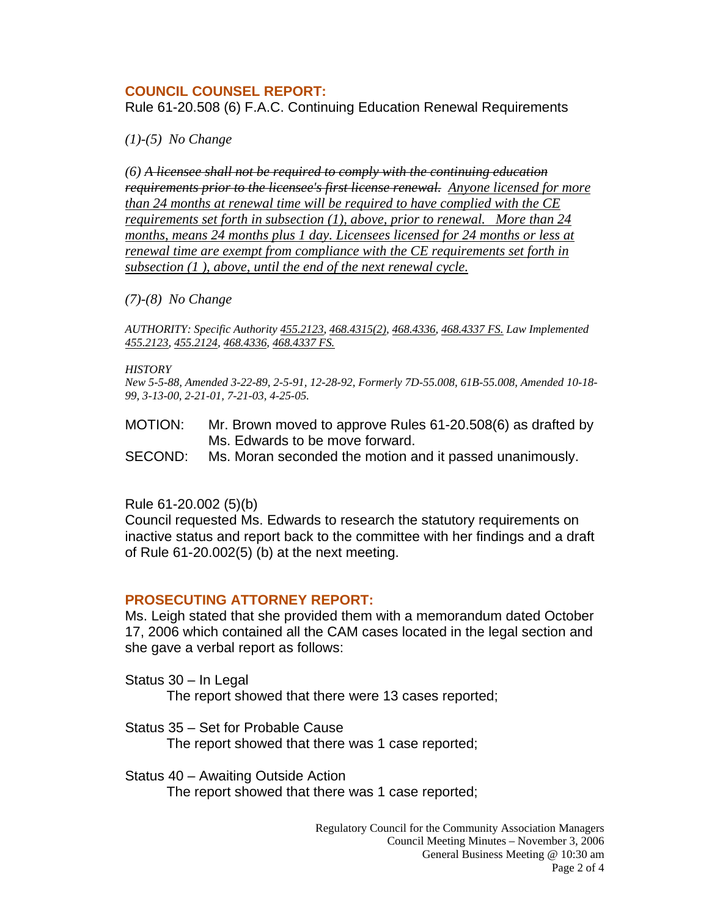## **COUNCIL COUNSEL REPORT:**

Rule 61-20.508 (6) F.A.C. Continuing Education Renewal Requirements

*(1)-(5) No Change* 

*(6) A licensee shall not be required to comply with the continuing education requirements prior to the licensee's first license renewal. Anyone licensed for more than 24 months at renewal time will be required to have complied with the CE requirements set forth in subsection (1), above, prior to renewal. More than 24 months, means 24 months plus 1 day. Licensees licensed for 24 months or less at renewal time are exempt from compliance with the CE requirements set forth in subsection (1 ), above, until the end of the next renewal cycle.*

#### *(7)-(8) No Change*

*AUTHORITY: Specific Authority [455.2123,](http://www.lexis.com/research/buttonTFLink?_m=2ae11875a46b130ef860aaa9d0302803&_xfercite=%3ccite%20cc%3d%22USA%22%3e%3c%21%5bCDATA%5b61-20.508%2c%20F.A.C.%5d%5d%3e%3c%2fcite%3e&_butType=4&_butStat=0&_butNum=3&_butInline=1&_butinfo=FLCODE%20455.2123&_fmtstr=FULL&docnum=1&_startdoc=1&wchp=dGLbVlb-zSkAA&_md5=e96a09bf15e1c46c53b6b5dd4ed56654) [468.4315\(2\),](http://www.lexis.com/research/buttonTFLink?_m=2ae11875a46b130ef860aaa9d0302803&_xfercite=%3ccite%20cc%3d%22USA%22%3e%3c%21%5bCDATA%5b61-20.508%2c%20F.A.C.%5d%5d%3e%3c%2fcite%3e&_butType=4&_butStat=0&_butNum=4&_butInline=1&_butinfo=FLCODE%20468.4315&_fmtstr=FULL&docnum=1&_startdoc=1&wchp=dGLbVlb-zSkAA&_md5=5229cd3fe66ed2b27ae567154765b8ac) [468.4336](http://www.lexis.com/research/buttonTFLink?_m=2ae11875a46b130ef860aaa9d0302803&_xfercite=%3ccite%20cc%3d%22USA%22%3e%3c%21%5bCDATA%5b61-20.508%2c%20F.A.C.%5d%5d%3e%3c%2fcite%3e&_butType=4&_butStat=0&_butNum=5&_butInline=1&_butinfo=FLCODE%20468.4336&_fmtstr=FULL&docnum=1&_startdoc=1&wchp=dGLbVlb-zSkAA&_md5=c20fdb57e6a0a6de7068d031daab72e0), [468.4337 FS.](http://www.lexis.com/research/buttonTFLink?_m=2ae11875a46b130ef860aaa9d0302803&_xfercite=%3ccite%20cc%3d%22USA%22%3e%3c%21%5bCDATA%5b61-20.508%2c%20F.A.C.%5d%5d%3e%3c%2fcite%3e&_butType=4&_butStat=0&_butNum=6&_butInline=1&_butinfo=FLCODE%20468.4337&_fmtstr=FULL&docnum=1&_startdoc=1&wchp=dGLbVlb-zSkAA&_md5=03d4aacb4f3888179566823668813f27) Law Implemented [455.2123,](http://www.lexis.com/research/buttonTFLink?_m=2ae11875a46b130ef860aaa9d0302803&_xfercite=%3ccite%20cc%3d%22USA%22%3e%3c%21%5bCDATA%5b61-20.508%2c%20F.A.C.%5d%5d%3e%3c%2fcite%3e&_butType=4&_butStat=0&_butNum=7&_butInline=1&_butinfo=FLCODE%20455.2123&_fmtstr=FULL&docnum=1&_startdoc=1&wchp=dGLbVlb-zSkAA&_md5=6051482db0382aa258cb7c3b6fe92f00) [455.2124,](http://www.lexis.com/research/buttonTFLink?_m=2ae11875a46b130ef860aaa9d0302803&_xfercite=%3ccite%20cc%3d%22USA%22%3e%3c%21%5bCDATA%5b61-20.508%2c%20F.A.C.%5d%5d%3e%3c%2fcite%3e&_butType=4&_butStat=0&_butNum=8&_butInline=1&_butinfo=FLCODE%20455.2124&_fmtstr=FULL&docnum=1&_startdoc=1&wchp=dGLbVlb-zSkAA&_md5=667009ffebd061615e5c6c8e63a5e2f2) [468.4336](http://www.lexis.com/research/buttonTFLink?_m=2ae11875a46b130ef860aaa9d0302803&_xfercite=%3ccite%20cc%3d%22USA%22%3e%3c%21%5bCDATA%5b61-20.508%2c%20F.A.C.%5d%5d%3e%3c%2fcite%3e&_butType=4&_butStat=0&_butNum=9&_butInline=1&_butinfo=FLCODE%20468.4336&_fmtstr=FULL&docnum=1&_startdoc=1&wchp=dGLbVlb-zSkAA&_md5=7a8e547cc621cb51e0b58feac3513329), [468.4337 FS.](http://www.lexis.com/research/buttonTFLink?_m=2ae11875a46b130ef860aaa9d0302803&_xfercite=%3ccite%20cc%3d%22USA%22%3e%3c%21%5bCDATA%5b61-20.508%2c%20F.A.C.%5d%5d%3e%3c%2fcite%3e&_butType=4&_butStat=0&_butNum=10&_butInline=1&_butinfo=FLCODE%20468.4337&_fmtstr=FULL&docnum=1&_startdoc=1&wchp=dGLbVlb-zSkAA&_md5=f1c0d7ec9879b646d4edfd127eda2ec7)*

#### *HISTORY*

*New 5-5-88, Amended 3-22-89, 2-5-91, 12-28-92, Formerly 7D-55.008, 61B-55.008, Amended 10-18- 99, 3-13-00, 2-21-01, 7-21-03, 4-25-05.*

MOTION: Mr. Brown moved to approve Rules 61-20.508(6) as drafted by Ms. Edwards to be move forward.

SECOND: Ms. Moran seconded the motion and it passed unanimously.

#### Rule 61-20.002 (5)(b)

Council requested Ms. Edwards to research the statutory requirements on inactive status and report back to the committee with her findings and a draft of Rule 61-20.002(5) (b) at the next meeting.

# **PROSECUTING ATTORNEY REPORT:**

Ms. Leigh stated that she provided them with a memorandum dated October 17, 2006 which contained all the CAM cases located in the legal section and she gave a verbal report as follows:

Status 30 – In Legal

The report showed that there were 13 cases reported;

Status 35 – Set for Probable Cause

The report showed that there was 1 case reported;

Status 40 – Awaiting Outside Action

The report showed that there was 1 case reported;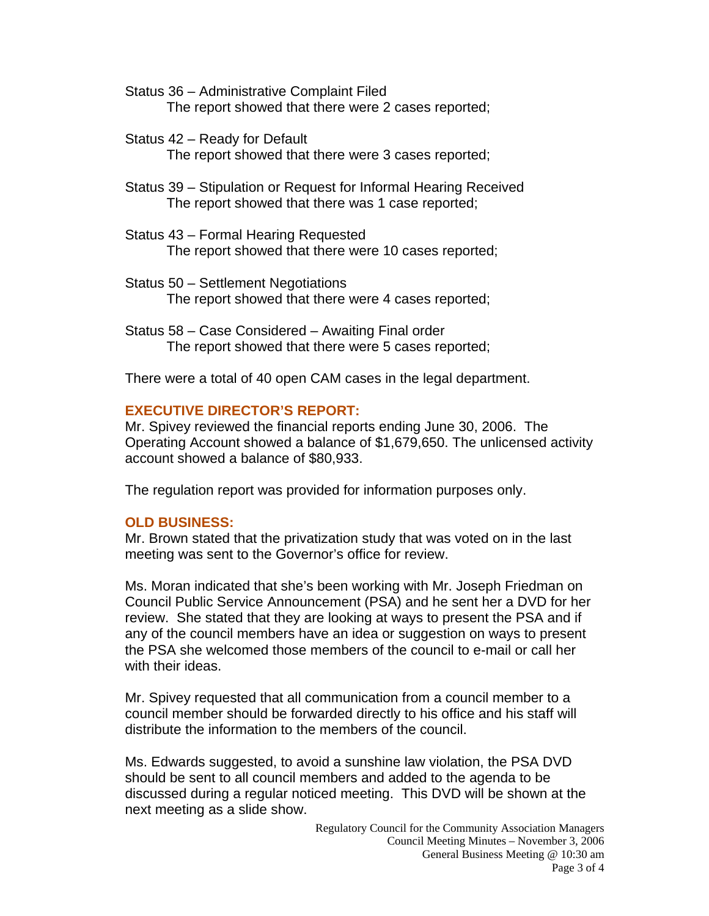- Status 36 Administrative Complaint Filed The report showed that there were 2 cases reported;
- Status 42 Ready for Default The report showed that there were 3 cases reported;
- Status 39 Stipulation or Request for Informal Hearing Received The report showed that there was 1 case reported;
- Status 43 Formal Hearing Requested The report showed that there were 10 cases reported;
- Status 50 Settlement Negotiations The report showed that there were 4 cases reported;
- Status 58 Case Considered Awaiting Final order The report showed that there were 5 cases reported;

There were a total of 40 open CAM cases in the legal department.

# **EXECUTIVE DIRECTOR'S REPORT:**

Mr. Spivey reviewed the financial reports ending June 30, 2006. The Operating Account showed a balance of \$1,679,650. The unlicensed activity account showed a balance of \$80,933.

The regulation report was provided for information purposes only.

# **OLD BUSINESS:**

Mr. Brown stated that the privatization study that was voted on in the last meeting was sent to the Governor's office for review.

Ms. Moran indicated that she's been working with Mr. Joseph Friedman on Council Public Service Announcement (PSA) and he sent her a DVD for her review. She stated that they are looking at ways to present the PSA and if any of the council members have an idea or suggestion on ways to present the PSA she welcomed those members of the council to e-mail or call her with their ideas.

Mr. Spivey requested that all communication from a council member to a council member should be forwarded directly to his office and his staff will distribute the information to the members of the council.

Ms. Edwards suggested, to avoid a sunshine law violation, the PSA DVD should be sent to all council members and added to the agenda to be discussed during a regular noticed meeting. This DVD will be shown at the next meeting as a slide show.